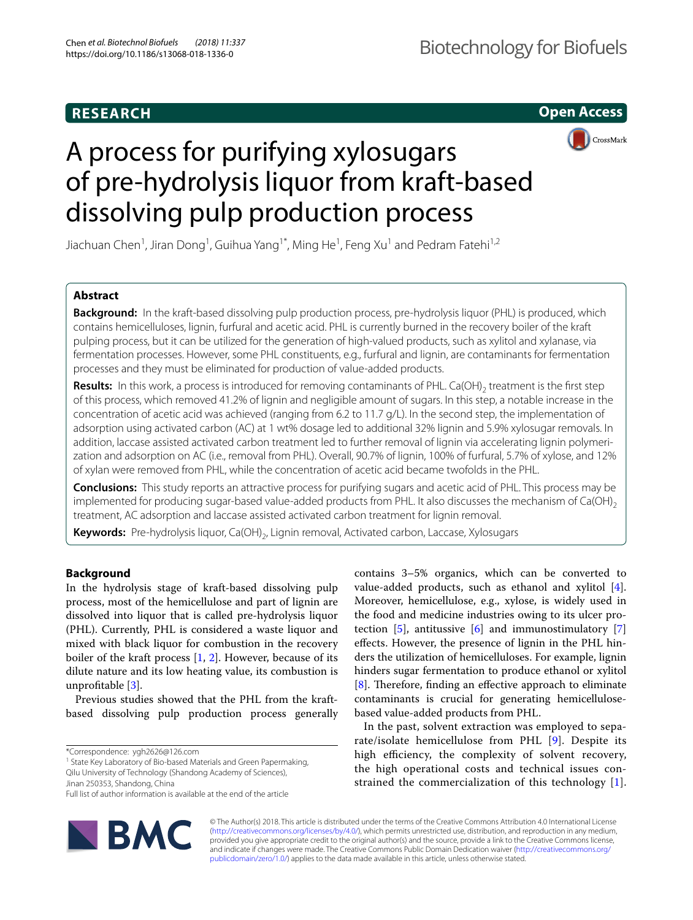# **RESEARCH**

**Open Access**



# A process for purifying xylosugars of pre-hydrolysis liquor from kraft-based dissolving pulp production process

Jiachuan Chen<sup>1</sup>, Jiran Dong<sup>1</sup>, Guihua Yang<sup>1\*</sup>, Ming He<sup>1</sup>, Feng Xu<sup>1</sup> and Pedram Fatehi<sup>1,2</sup>

# **Abstract**

**Background:** In the kraft-based dissolving pulp production process, pre-hydrolysis liquor (PHL) is produced, which contains hemicelluloses, lignin, furfural and acetic acid. PHL is currently burned in the recovery boiler of the kraft pulping process, but it can be utilized for the generation of high-valued products, such as xylitol and xylanase, via fermentation processes. However, some PHL constituents, e.g., furfural and lignin, are contaminants for fermentation processes and they must be eliminated for production of value-added products.

Results: In this work, a process is introduced for removing contaminants of PHL. Ca(OH)<sub>2</sub> treatment is the first step of this process, which removed 41.2% of lignin and negligible amount of sugars. In this step, a notable increase in the concentration of acetic acid was achieved (ranging from 6.2 to 11.7 g/L). In the second step, the implementation of adsorption using activated carbon (AC) at 1 wt% dosage led to additional 32% lignin and 5.9% xylosugar removals. In addition, laccase assisted activated carbon treatment led to further removal of lignin via accelerating lignin polymerization and adsorption on AC (i.e., removal from PHL). Overall, 90.7% of lignin, 100% of furfural, 5.7% of xylose, and 12% of xylan were removed from PHL, while the concentration of acetic acid became twofolds in the PHL.

**Conclusions:** This study reports an attractive process for purifying sugars and acetic acid of PHL. This process may be implemented for producing sugar-based value-added products from PHL. It also discusses the mechanism of Ca(OH)<sub>2</sub> treatment, AC adsorption and laccase assisted activated carbon treatment for lignin removal.

Keywords: Pre-hydrolysis liquor, Ca(OH)<sub>2</sub>, Lignin removal, Activated carbon, Laccase, Xylosugars

# **Background**

In the hydrolysis stage of kraft-based dissolving pulp process, most of the hemicellulose and part of lignin are dissolved into liquor that is called pre-hydrolysis liquor (PHL). Currently, PHL is considered a waste liquor and mixed with black liquor for combustion in the recovery boiler of the kraft process  $[1, 2]$  $[1, 2]$  $[1, 2]$  $[1, 2]$ . However, because of its dilute nature and its low heating value, its combustion is unproftable [\[3](#page-11-2)].

Previous studies showed that the PHL from the kraftbased dissolving pulp production process generally

<sup>1</sup> State Key Laboratory of Bio-based Materials and Green Papermaking, Qilu University of Technology (Shandong Academy of Sciences),

Jinan 250353, Shandong, China

Full list of author information is available at the end of the article



contains 3–5% organics, which can be converted to value-added products, such as ethanol and xylitol [\[4](#page-11-3)]. Moreover, hemicellulose, e.g., xylose, is widely used in the food and medicine industries owing to its ulcer protection  $[5]$  $[5]$ , antitussive  $[6]$  $[6]$  and immunostimulatory  $[7]$  $[7]$ efects. However, the presence of lignin in the PHL hinders the utilization of hemicelluloses. For example, lignin hinders sugar fermentation to produce ethanol or xylitol  $[8]$  $[8]$ . Therefore, finding an effective approach to eliminate contaminants is crucial for generating hemicellulosebased value-added products from PHL.

In the past, solvent extraction was employed to separate/isolate hemicellulose from PHL [[9\]](#page-11-8). Despite its high efficiency, the complexity of solvent recovery, the high operational costs and technical issues constrained the commercialization of this technology [[1](#page-11-0)].

© The Author(s) 2018. This article is distributed under the terms of the Creative Commons Attribution 4.0 International License [\(http://creativecommons.org/licenses/by/4.0/\)](http://creativecommons.org/licenses/by/4.0/), which permits unrestricted use, distribution, and reproduction in any medium, provided you give appropriate credit to the original author(s) and the source, provide a link to the Creative Commons license, and indicate if changes were made. The Creative Commons Public Domain Dedication waiver ([http://creativecommons.org/](http://creativecommons.org/publicdomain/zero/1.0/) [publicdomain/zero/1.0/](http://creativecommons.org/publicdomain/zero/1.0/)) applies to the data made available in this article, unless otherwise stated.

<sup>\*</sup>Correspondence: ygh2626@126.com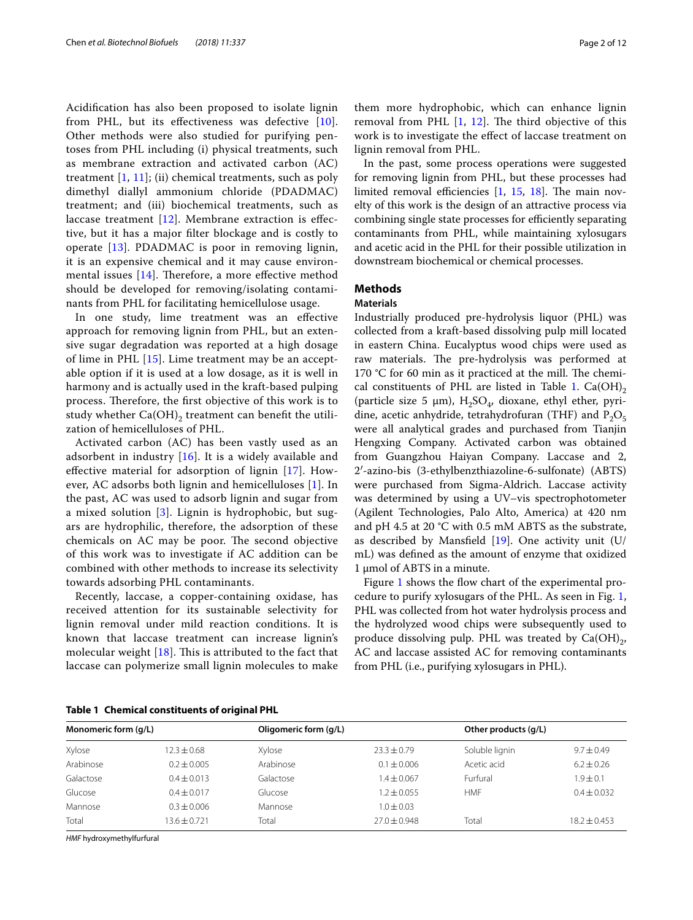Acidifcation has also been proposed to isolate lignin from PHL, but its effectiveness was defective [[10\]](#page-11-9). Other methods were also studied for purifying pentoses from PHL including (i) physical treatments, such as membrane extraction and activated carbon (AC) treatment  $[1, 11]$  $[1, 11]$  $[1, 11]$ ; (ii) chemical treatments, such as poly dimethyl diallyl ammonium chloride (PDADMAC) treatment; and (iii) biochemical treatments, such as laccase treatment  $[12]$  $[12]$ . Membrane extraction is effective, but it has a major flter blockage and is costly to operate [[13](#page-11-12)]. PDADMAC is poor in removing lignin, it is an expensive chemical and it may cause environmental issues  $[14]$  $[14]$ . Therefore, a more effective method should be developed for removing/isolating contaminants from PHL for facilitating hemicellulose usage.

In one study, lime treatment was an efective approach for removing lignin from PHL, but an extensive sugar degradation was reported at a high dosage of lime in PHL [[15](#page-11-14)]. Lime treatment may be an acceptable option if it is used at a low dosage, as it is well in harmony and is actually used in the kraft-based pulping process. Therefore, the first objective of this work is to study whether  $Ca(OH)$ , treatment can benefit the utilization of hemicelluloses of PHL.

Activated carbon (AC) has been vastly used as an adsorbent in industry  $[16]$  $[16]$ . It is a widely available and efective material for adsorption of lignin [[17\]](#page-11-16). However, AC adsorbs both lignin and hemicelluloses [[1](#page-11-0)]. In the past, AC was used to adsorb lignin and sugar from a mixed solution [\[3](#page-11-2)]. Lignin is hydrophobic, but sugars are hydrophilic, therefore, the adsorption of these chemicals on AC may be poor. The second objective of this work was to investigate if AC addition can be combined with other methods to increase its selectivity towards adsorbing PHL contaminants.

Recently, laccase, a copper-containing oxidase, has received attention for its sustainable selectivity for lignin removal under mild reaction conditions. It is known that laccase treatment can increase lignin's molecular weight  $[18]$  $[18]$ . This is attributed to the fact that laccase can polymerize small lignin molecules to make

them more hydrophobic, which can enhance lignin removal from PHL  $[1, 12]$  $[1, 12]$  $[1, 12]$  $[1, 12]$  $[1, 12]$ . The third objective of this work is to investigate the efect of laccase treatment on lignin removal from PHL.

In the past, some process operations were suggested for removing lignin from PHL, but these processes had limited removal efficiencies  $[1, 15, 18]$  $[1, 15, 18]$  $[1, 15, 18]$  $[1, 15, 18]$  $[1, 15, 18]$  $[1, 15, 18]$  $[1, 15, 18]$ . The main novelty of this work is the design of an attractive process via combining single state processes for efficiently separating contaminants from PHL, while maintaining xylosugars and acetic acid in the PHL for their possible utilization in downstream biochemical or chemical processes.

# **Methods**

# **Materials**

Industrially produced pre-hydrolysis liquor (PHL) was collected from a kraft-based dissolving pulp mill located in eastern China. Eucalyptus wood chips were used as raw materials. The pre-hydrolysis was performed at 170 °C for 60 min as it practiced at the mill. The chemi-cal constituents of PHL are listed in Table [1.](#page-1-0)  $Ca(OH)_{2}$ (particle size 5  $\mu$ m), H<sub>2</sub>SO<sub>4</sub>, dioxane, ethyl ether, pyridine, acetic anhydride, tetrahydrofuran (THF) and  $P_2O_5$ were all analytical grades and purchased from Tianjin Hengxing Company. Activated carbon was obtained from Guangzhou Haiyan Company. Laccase and 2, 2′-azino-bis (3-ethylbenzthiazoline-6-sulfonate) (ABTS) were purchased from Sigma-Aldrich. Laccase activity was determined by using a UV–vis spectrophotometer (Agilent Technologies, Palo Alto, America) at 420 nm and pH 4.5 at 20 °C with 0.5 mM ABTS as the substrate, as described by Mansfield  $[19]$  $[19]$ . One activity unit  $(U/$ mL) was defned as the amount of enzyme that oxidized 1 μmol of ABTS in a minute.

Figure [1](#page-2-0) shows the flow chart of the experimental procedure to purify xylosugars of the PHL. As seen in Fig. [1](#page-2-0), PHL was collected from hot water hydrolysis process and the hydrolyzed wood chips were subsequently used to produce dissolving pulp. PHL was treated by  $Ca(OH)_{2}$ , AC and laccase assisted AC for removing contaminants from PHL (i.e., purifying xylosugars in PHL).

<span id="page-1-0"></span>

|  | Table 1 Chemical constituents of original PHL |  |
|--|-----------------------------------------------|--|
|  |                                               |  |

| Monomeric form (q/L) |                  | Oligomeric form (g/L) |                  | Other products (g/L) |                  |
|----------------------|------------------|-----------------------|------------------|----------------------|------------------|
| Xylose               | $12.3 \pm 0.68$  | Xylose                | $23.3 \pm 0.79$  | Soluble lignin       | $9.7 \pm 0.49$   |
| Arabinose            | $0.2 \pm 0.005$  | Arabinose             | $0.1 \pm 0.006$  | Acetic acid          | $6.2 \pm 0.26$   |
| Galactose            | $0.4 \pm 0.013$  | Galactose             | $1.4 + 0.067$    | Furfural             | $1.9 + 0.1$      |
| Glucose              | $0.4 \pm 0.017$  | Glucose               | $1.2 \pm 0.055$  | <b>HMF</b>           | $0.4 + 0.032$    |
| Mannose              | $0.3 + 0.006$    | Mannose               | $1.0 \pm 0.03$   |                      |                  |
| Total                | $13.6 \pm 0.721$ | Total                 | $27.0 \pm 0.948$ | Total                | $18.2 \pm 0.453$ |

*HMF* hydroxymethylfurfural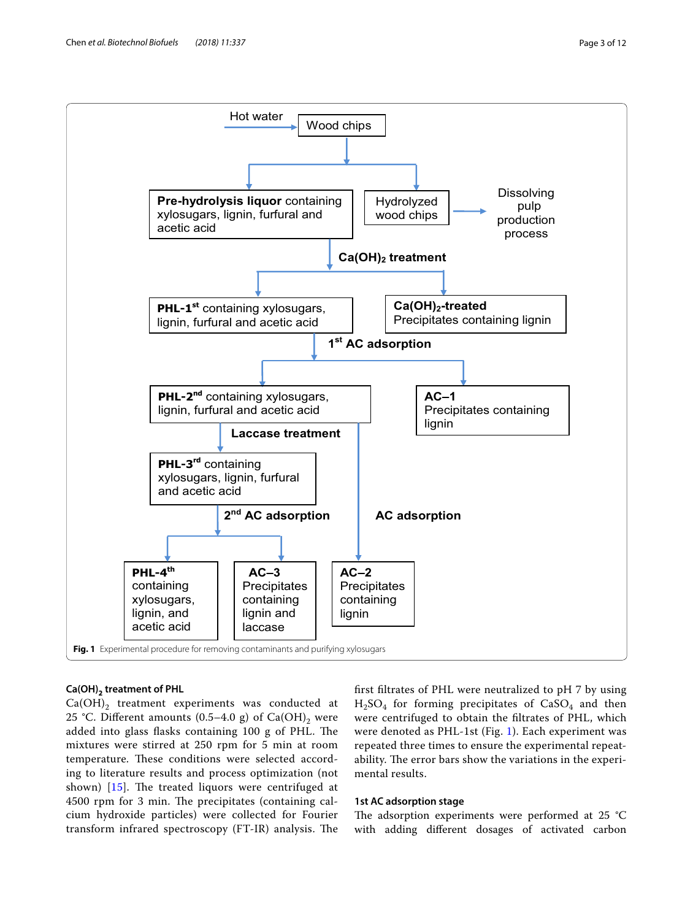

# <span id="page-2-0"></span>**Ca(OH)2 treatment of PHL**

 $Ca(OH)_{2}$  treatment experiments was conducted at 25 °C. Different amounts (0.5–4.0 g) of  $Ca(OH)$ <sub>2</sub> were added into glass flasks containing 100 g of PHL. The mixtures were stirred at 250 rpm for 5 min at room temperature. These conditions were selected according to literature results and process optimization (not shown)  $[15]$  $[15]$ . The treated liquors were centrifuged at 4500 rpm for 3 min. The precipitates (containing calcium hydroxide particles) were collected for Fourier transform infrared spectroscopy (FT-IR) analysis. The

frst fltrates of PHL were neutralized to pH 7 by using  $H_2SO_4$  for forming precipitates of  $CaSO_4$  and then were centrifuged to obtain the fltrates of PHL, which were denoted as PHL-1st (Fig. [1](#page-2-0)). Each experiment was repeated three times to ensure the experimental repeatability. The error bars show the variations in the experimental results.

# **1st AC adsorption stage**

The adsorption experiments were performed at 25  $^{\circ}$ C with adding diferent dosages of activated carbon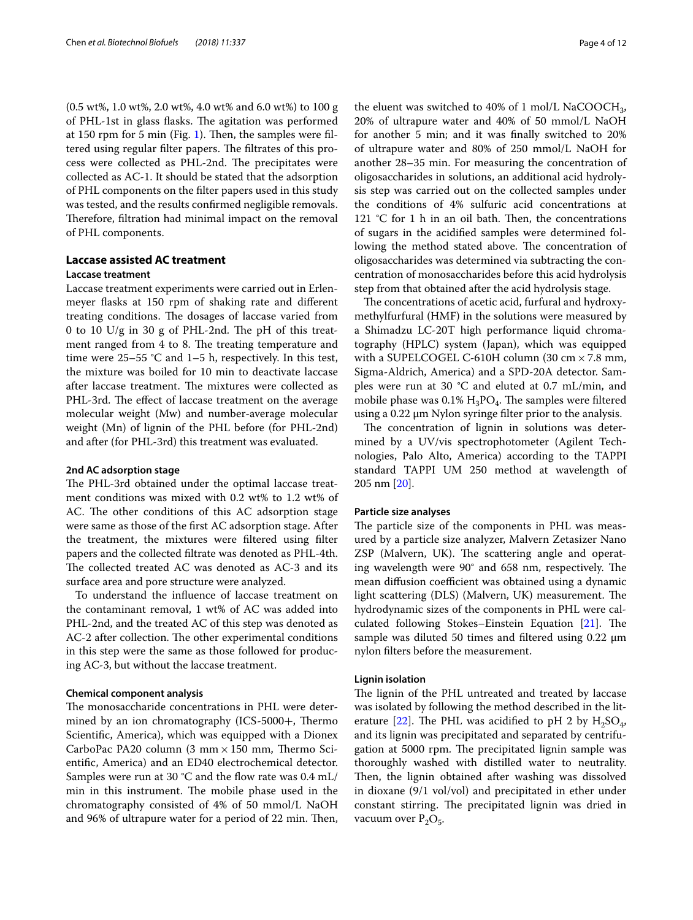(0.5 wt%, 1.0 wt%, 2.0 wt%, 4.0 wt% and 6.0 wt%) to 100 g of PHL-1st in glass flasks. The agitation was performed at 150 rpm for 5 min (Fig. [1\)](#page-2-0). Then, the samples were filtered using regular filter papers. The filtrates of this process were collected as PHL-2nd. The precipitates were collected as AC-1. It should be stated that the adsorption of PHL components on the flter papers used in this study was tested, and the results confrmed negligible removals. Therefore, filtration had minimal impact on the removal of PHL components.

#### **Laccase assisted AC treatment**

#### **Laccase treatment**

Laccase treatment experiments were carried out in Erlenmeyer fasks at 150 rpm of shaking rate and diferent treating conditions. The dosages of laccase varied from 0 to 10  $U/g$  in 30 g of PHL-2nd. The pH of this treatment ranged from 4 to 8. The treating temperature and time were 25–55 °C and 1–5 h, respectively. In this test, the mixture was boiled for 10 min to deactivate laccase after laccase treatment. The mixtures were collected as PHL-3rd. The effect of laccase treatment on the average molecular weight (Mw) and number-average molecular weight (Mn) of lignin of the PHL before (for PHL-2nd) and after (for PHL-3rd) this treatment was evaluated.

#### **2nd AC adsorption stage**

The PHL-3rd obtained under the optimal laccase treatment conditions was mixed with 0.2 wt% to 1.2 wt% of AC. The other conditions of this AC adsorption stage were same as those of the frst AC adsorption stage. After the treatment, the mixtures were fltered using flter papers and the collected fltrate was denoted as PHL-4th. The collected treated AC was denoted as AC-3 and its surface area and pore structure were analyzed.

To understand the infuence of laccase treatment on the contaminant removal, 1 wt% of AC was added into PHL-2nd, and the treated AC of this step was denoted as AC-2 after collection. The other experimental conditions in this step were the same as those followed for producing AC-3, but without the laccase treatment.

#### **Chemical component analysis**

The monosaccharide concentrations in PHL were determined by an ion chromatography  $(ICS-5000+$ , Thermo Scientifc, America), which was equipped with a Dionex CarboPac PA20 column (3  $mm \times 150$  mm, Thermo Scientifc, America) and an ED40 electrochemical detector. Samples were run at 30 °C and the flow rate was 0.4 mL/ min in this instrument. The mobile phase used in the chromatography consisted of 4% of 50 mmol/L NaOH and 96% of ultrapure water for a period of 22 min. Then, the eluent was switched to 40% of 1 mol/L NaCOOCH<sub>3</sub>, 20% of ultrapure water and 40% of 50 mmol/L NaOH for another 5 min; and it was fnally switched to 20% of ultrapure water and 80% of 250 mmol/L NaOH for another 28–35 min. For measuring the concentration of oligosaccharides in solutions, an additional acid hydrolysis step was carried out on the collected samples under the conditions of 4% sulfuric acid concentrations at 121  $^{\circ}$ C for 1 h in an oil bath. Then, the concentrations of sugars in the acidifed samples were determined following the method stated above. The concentration of oligosaccharides was determined via subtracting the concentration of monosaccharides before this acid hydrolysis step from that obtained after the acid hydrolysis stage.

The concentrations of acetic acid, furfural and hydroxymethylfurfural (HMF) in the solutions were measured by a Shimadzu LC-20T high performance liquid chromatography (HPLC) system (Japan), which was equipped with a SUPELCOGEL C-610H column (30 cm  $\times$  7.8 mm, Sigma-Aldrich, America) and a SPD-20A detector. Samples were run at 30 °C and eluted at 0.7 mL/min, and mobile phase was  $0.1\%$  H<sub>3</sub>PO<sub>4</sub>. The samples were filtered using a 0.22 μm Nylon syringe flter prior to the analysis.

The concentration of lignin in solutions was determined by a UV/vis spectrophotometer (Agilent Technologies, Palo Alto, America) according to the TAPPI standard TAPPI UM 250 method at wavelength of 205 nm [[20\]](#page-11-19).

#### **Particle size analyses**

The particle size of the components in PHL was measured by a particle size analyzer, Malvern Zetasizer Nano ZSP (Malvern, UK). The scattering angle and operating wavelength were 90° and 658 nm, respectively. The mean diffusion coefficient was obtained using a dynamic light scattering (DLS) (Malvern, UK) measurement. The hydrodynamic sizes of the components in PHL were calculated following Stokes–Einstein Equation  $[21]$ . The sample was diluted 50 times and filtered using  $0.22 \mu m$ nylon flters before the measurement.

#### **Lignin isolation**

The lignin of the PHL untreated and treated by laccase was isolated by following the method described in the lit-erature [[22\]](#page-11-21). The PHL was acidified to pH 2 by  $H_2SO_4$ , and its lignin was precipitated and separated by centrifugation at 5000 rpm. The precipitated lignin sample was thoroughly washed with distilled water to neutrality. Then, the lignin obtained after washing was dissolved in dioxane (9/1 vol/vol) and precipitated in ether under constant stirring. The precipitated lignin was dried in vacuum over  $P_2O_5$ .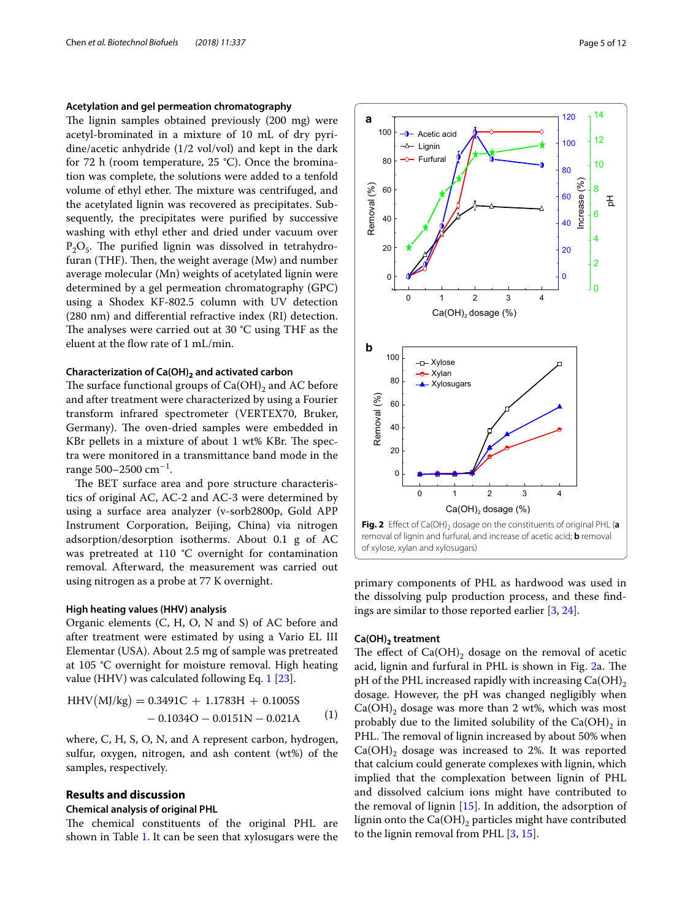#### **Acetylation and gel permeation chromatography**

The lignin samples obtained previously (200 mg) were acetyl-brominated in a mixture of 10 mL of dry pyridine/acetic anhydride (1/2 vol/vol) and kept in the dark for 72 h (room temperature, 25 °C). Once the bromination was complete, the solutions were added to a tenfold volume of ethyl ether. The mixture was centrifuged, and the acetylated lignin was recovered as precipitates. Subsequently, the precipitates were purifed by successive washing with ethyl ether and dried under vacuum over  $P_2O_5$ . The purified lignin was dissolved in tetrahydrofuran (THF). Then, the weight average (Mw) and number average molecular (Mn) weights of acetylated lignin were determined by a gel permeation chromatography (GPC) using a Shodex KF-802.5 column with UV detection (280 nm) and diferential refractive index (RI) detection. The analyses were carried out at 30  $^{\circ}$ C using THF as the eluent at the fow rate of 1 mL/min.

#### **Characterization of Ca(OH)2 and activated carbon**

The surface functional groups of  $Ca(OH)_2$  and AC before and after treatment were characterized by using a Fourier transform infrared spectrometer (VERTEX70, Bruker, Germany). The oven-dried samples were embedded in KBr pellets in a mixture of about 1 wt% KBr. The spectra were monitored in a transmittance band mode in the range 500–2500 cm $^{-1}$ .

The BET surface area and pore structure characteristics of original AC, AC-2 and AC-3 were determined by using a surface area analyzer (v-sorb2800p, Gold APP Instrument Corporation, Beijing, China) via nitrogen adsorption/desorption isotherms. About 0.1 g of AC was pretreated at 110 °C overnight for contamination removal. Afterward, the measurement was carried out using nitrogen as a probe at 77 K overnight.

#### **High heating values (HHV) analysis**

Organic elements (C, H, O, N and S) of AC before and after treatment were estimated by using a Vario EL III Elementar (USA). About 2.5 mg of sample was pretreated at 105 °C overnight for moisture removal. High heating value (HHV) was calculated following Eq. [1](#page-4-0) [\[23\]](#page-11-22).

$$
HHV(MJ/kg) = 0.3491C + 1.1783H + 0.1005S
$$

$$
- 0.1034O - 0.0151N - 0.021A
$$
 (1)

where, C, H, S, O, N, and A represent carbon, hydrogen, sulfur, oxygen, nitrogen, and ash content (wt%) of the samples, respectively.

# **Results and discussion**

#### **Chemical analysis of original PHL**

The chemical constituents of the original PHL are shown in Table [1.](#page-1-0) It can be seen that xylosugars were the



<span id="page-4-1"></span>primary components of PHL as hardwood was used in the dissolving pulp production process, and these fndings are similar to those reported earlier [[3,](#page-11-2) [24\]](#page-11-23).

#### **Ca(OH)2 treatment**

<span id="page-4-0"></span>The effect of  $Ca(OH)_{2}$  dosage on the removal of acetic acid, lignin and furfural in PHL is shown in Fig. [2](#page-4-1)a. The pH of the PHL increased rapidly with increasing  $Ca(OH)_{2}$ dosage. However, the pH was changed negligibly when  $Ca(OH)_{2}$  dosage was more than 2 wt%, which was most probably due to the limited solubility of the  $Ca(OH)_{2}$  in PHL. The removal of lignin increased by about 50% when  $Ca(OH)$ <sub>2</sub> dosage was increased to 2%. It was reported that calcium could generate complexes with lignin, which implied that the complexation between lignin of PHL and dissolved calcium ions might have contributed to the removal of lignin  $[15]$  $[15]$ . In addition, the adsorption of lignin onto the  $Ca(OH)_{2}$  particles might have contributed to the lignin removal from PHL [[3,](#page-11-2) [15\]](#page-11-14).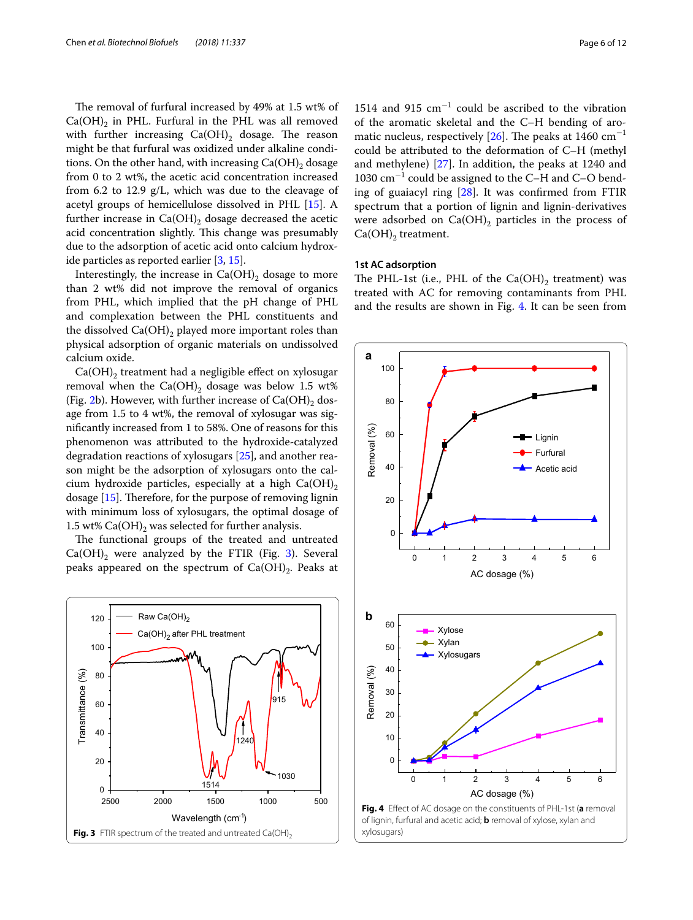The removal of furfural increased by 49% at 1.5 wt% of  $Ca(OH)$ <sub>2</sub> in PHL. Furfural in the PHL was all removed with further increasing  $Ca(OH)_2$  dosage. The reason might be that furfural was oxidized under alkaline conditions. On the other hand, with increasing  $Ca(OH)$ <sub>2</sub> dosage from 0 to 2 wt%, the acetic acid concentration increased from 6.2 to 12.9 g/L, which was due to the cleavage of acetyl groups of hemicellulose dissolved in PHL [[15](#page-11-14)]. A further increase in  $Ca(OH)$ , dosage decreased the acetic acid concentration slightly. This change was presumably due to the adsorption of acetic acid onto calcium hydroxide particles as reported earlier [\[3,](#page-11-2) [15](#page-11-14)].

Interestingly, the increase in  $Ca(OH)$ <sub>2</sub> dosage to more than 2 wt% did not improve the removal of organics from PHL, which implied that the pH change of PHL and complexation between the PHL constituents and the dissolved  $Ca(OH)$ <sub>2</sub> played more important roles than physical adsorption of organic materials on undissolved calcium oxide.

 $Ca(OH)$ <sub>2</sub> treatment had a negligible effect on xylosugar removal when the  $Ca(OH)_2$  dosage was below 1.5 wt% (Fig. [2b](#page-4-1)). However, with further increase of  $Ca(OH)$ <sub>2</sub> dosage from 1.5 to 4 wt%, the removal of xylosugar was signifcantly increased from 1 to 58%. One of reasons for this phenomenon was attributed to the hydroxide-catalyzed degradation reactions of xylosugars [\[25](#page-11-24)], and another reason might be the adsorption of xylosugars onto the calcium hydroxide particles, especially at a high  $Ca(OH)_{2}$ dosage  $[15]$  $[15]$ . Therefore, for the purpose of removing lignin with minimum loss of xylosugars, the optimal dosage of 1.5 wt%  $Ca(OH)$ <sub>2</sub> was selected for further analysis.

The functional groups of the treated and untreated  $Ca(OH)$ <sub>2</sub> were analyzed by the FTIR (Fig. [3\)](#page-5-0). Several peaks appeared on the spectrum of  $Ca(OH)_2$ . Peaks at

<span id="page-5-1"></span><span id="page-5-0"></span>

1514 and 915  $\text{cm}^{-1}$  could be ascribed to the vibration of the aromatic skeletal and the C–H bending of aro-matic nucleus, respectively [[26](#page-11-25)]. The peaks at 1460  $cm^{-1}$ could be attributed to the deformation of C–H (methyl and methylene) [[27\]](#page-11-26). In addition, the peaks at 1240 and 1030 cm<sup>−</sup><sup>1</sup> could be assigned to the C–H and C–O bending of guaiacyl ring [\[28](#page-11-27)]. It was confrmed from FTIR spectrum that a portion of lignin and lignin-derivatives were adsorbed on  $Ca(OH)_{2}$  particles in the process of  $Ca(OH)<sub>2</sub>$  treatment.

#### **1st AC adsorption**

The PHL-1st (i.e., PHL of the  $Ca(OH)_2$  treatment) was treated with AC for removing contaminants from PHL and the results are shown in Fig. [4.](#page-5-1) It can be seen from

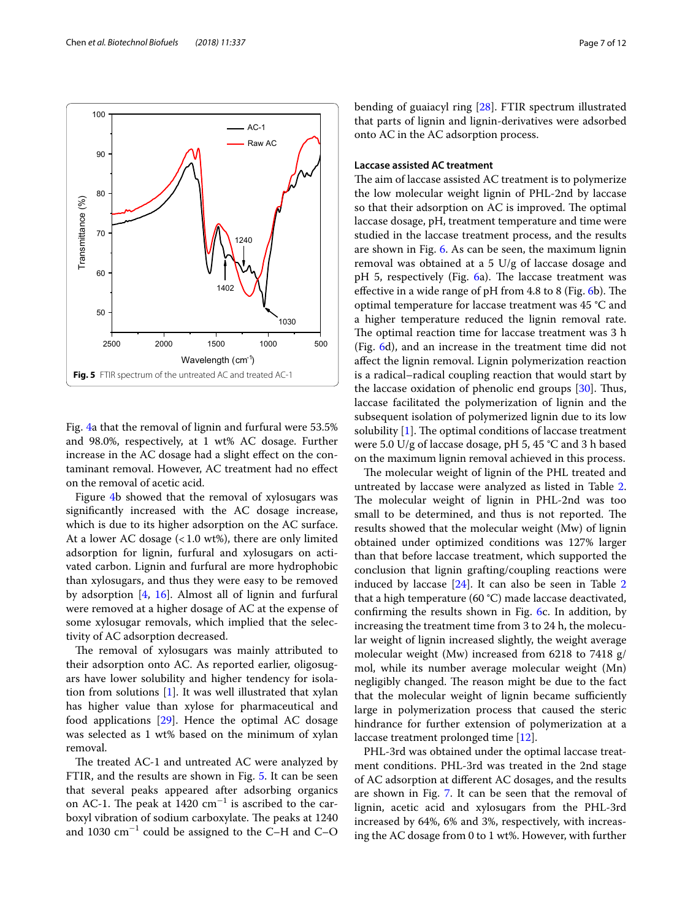

<span id="page-6-0"></span>Fig. [4a](#page-5-1) that the removal of lignin and furfural were 53.5% and 98.0%, respectively, at 1 wt% AC dosage. Further increase in the AC dosage had a slight effect on the contaminant removal. However, AC treatment had no efect on the removal of acetic acid.

Figure [4](#page-5-1)b showed that the removal of xylosugars was signifcantly increased with the AC dosage increase, which is due to its higher adsorption on the AC surface. At a lower AC dosage  $(<1.0$  wt%), there are only limited adsorption for lignin, furfural and xylosugars on activated carbon. Lignin and furfural are more hydrophobic than xylosugars, and thus they were easy to be removed by adsorption [\[4,](#page-11-3) [16](#page-11-15)]. Almost all of lignin and furfural were removed at a higher dosage of AC at the expense of some xylosugar removals, which implied that the selectivity of AC adsorption decreased.

The removal of xylosugars was mainly attributed to their adsorption onto AC. As reported earlier, oligosugars have lower solubility and higher tendency for isolation from solutions [\[1](#page-11-0)]. It was well illustrated that xylan has higher value than xylose for pharmaceutical and food applications [[29\]](#page-11-28). Hence the optimal AC dosage was selected as 1 wt% based on the minimum of xylan removal.

The treated AC-1 and untreated AC were analyzed by FTIR, and the results are shown in Fig. [5](#page-6-0). It can be seen that several peaks appeared after adsorbing organics on AC-1. The peak at 1420  $\mathrm{cm}^{-1}$  is ascribed to the carboxyl vibration of sodium carboxylate. The peaks at 1240 and 1030  $\rm cm^{-1}$  could be assigned to the C–H and C–O bending of guaiacyl ring [\[28\]](#page-11-27). FTIR spectrum illustrated that parts of lignin and lignin-derivatives were adsorbed onto AC in the AC adsorption process.

# **Laccase assisted AC treatment**

The aim of laccase assisted AC treatment is to polymerize the low molecular weight lignin of PHL-2nd by laccase so that their adsorption on AC is improved. The optimal laccase dosage, pH, treatment temperature and time were studied in the laccase treatment process, and the results are shown in Fig. [6.](#page-7-0) As can be seen, the maximum lignin removal was obtained at a 5 U/g of laccase dosage and pH 5, respectively (Fig.  $6a$  $6a$ ). The laccase treatment was effective in a wide range of pH from 4.8 to 8 (Fig. [6](#page-7-0)b). The optimal temperature for laccase treatment was 45 °C and a higher temperature reduced the lignin removal rate. The optimal reaction time for laccase treatment was 3 h (Fig. [6](#page-7-0)d), and an increase in the treatment time did not afect the lignin removal. Lignin polymerization reaction is a radical–radical coupling reaction that would start by the laccase oxidation of phenolic end groups  $[30]$  $[30]$  $[30]$ . Thus, laccase facilitated the polymerization of lignin and the subsequent isolation of polymerized lignin due to its low solubility  $[1]$  $[1]$ . The optimal conditions of laccase treatment were 5.0 U/g of laccase dosage, pH 5, 45 °C and 3 h based on the maximum lignin removal achieved in this process.

The molecular weight of lignin of the PHL treated and untreated by laccase were analyzed as listed in Table [2](#page-7-1). The molecular weight of lignin in PHL-2nd was too small to be determined, and thus is not reported. The results showed that the molecular weight (Mw) of lignin obtained under optimized conditions was 127% larger than that before laccase treatment, which supported the conclusion that lignin grafting/coupling reactions were induced by laccase  $[24]$  $[24]$ . It can also be seen in Table [2](#page-7-1) that a high temperature (60 °C) made laccase deactivated, confirming the results shown in Fig.  $6c$  $6c$ . In addition, by increasing the treatment time from 3 to 24 h, the molecular weight of lignin increased slightly, the weight average molecular weight (Mw) increased from 6218 to 7418 g/ mol, while its number average molecular weight (Mn) negligibly changed. The reason might be due to the fact that the molecular weight of lignin became sufficiently large in polymerization process that caused the steric hindrance for further extension of polymerization at a laccase treatment prolonged time [[12\]](#page-11-11).

PHL-3rd was obtained under the optimal laccase treatment conditions. PHL-3rd was treated in the 2nd stage of AC adsorption at diferent AC dosages, and the results are shown in Fig. [7.](#page-8-0) It can be seen that the removal of lignin, acetic acid and xylosugars from the PHL-3rd increased by 64%, 6% and 3%, respectively, with increasing the AC dosage from 0 to 1 wt%. However, with further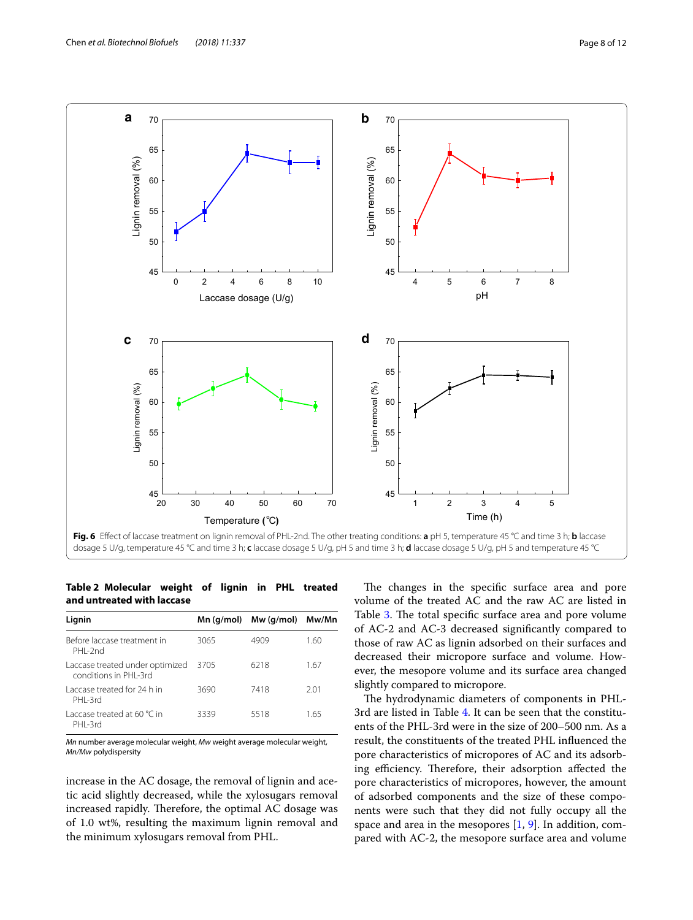

<span id="page-7-1"></span><span id="page-7-0"></span>**Table 2 Molecular weight of lignin in PHL treated and untreated with laccase**

| Lignin                                                   |      | $Mn (q/mol)$ $Mw (q/mol)$ | Mw/Mn |
|----------------------------------------------------------|------|---------------------------|-------|
| Before laccase treatment in<br>PHI-2nd                   | 3065 | 4909                      | 1.60  |
| Laccase treated under optimized<br>conditions in PHI-3rd | 3705 | 6218                      | 1.67  |
| Laccase treated for 24 h in<br>PHI-3rd                   | 3690 | 7418                      | 201   |
| Laccase treated at 60 °C in<br>PHI-3rd                   | 3339 | 5518                      | 165   |

*Mn* number average molecular weight, *Mw* weight average molecular weight, *Mn/Mw* polydispersity

increase in the AC dosage, the removal of lignin and acetic acid slightly decreased, while the xylosugars removal increased rapidly. Therefore, the optimal AC dosage was of 1.0 wt%, resulting the maximum lignin removal and the minimum xylosugars removal from PHL.

The changes in the specific surface area and pore volume of the treated AC and the raw AC are listed in Table [3](#page-8-1). The total specific surface area and pore volume of AC-2 and AC-3 decreased signifcantly compared to those of raw AC as lignin adsorbed on their surfaces and decreased their micropore surface and volume. However, the mesopore volume and its surface area changed slightly compared to micropore.

The hydrodynamic diameters of components in PHL-3rd are listed in Table [4](#page-8-2). It can be seen that the constituents of the PHL-3rd were in the size of 200–500 nm. As a result, the constituents of the treated PHL infuenced the pore characteristics of micropores of AC and its adsorbing efficiency. Therefore, their adsorption affected the pore characteristics of micropores, however, the amount of adsorbed components and the size of these components were such that they did not fully occupy all the space and area in the mesopores  $[1, 9]$  $[1, 9]$  $[1, 9]$ . In addition, compared with AC-2, the mesopore surface area and volume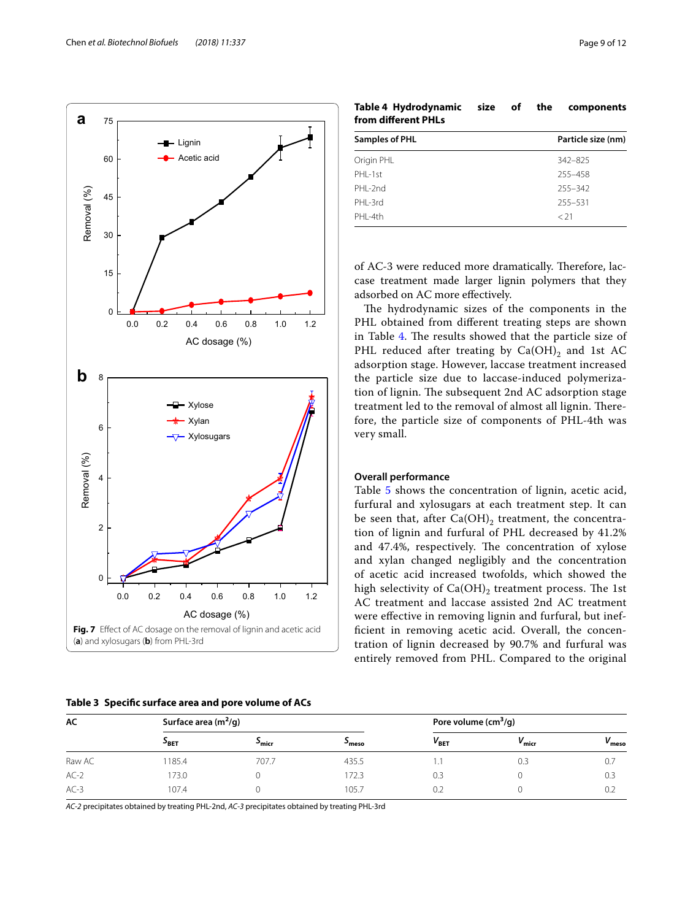of AC-3 were reduced more dramatically. Therefore, laccase treatment made larger lignin polymers that they adsorbed on AC more efectively.

The hydrodynamic sizes of the components in the PHL obtained from diferent treating steps are shown in Table [4.](#page-8-2) The results showed that the particle size of PHL reduced after treating by  $Ca(OH)$ <sub>2</sub> and 1st AC adsorption stage. However, laccase treatment increased the particle size due to laccase-induced polymerization of lignin. The subsequent 2nd AC adsorption stage treatment led to the removal of almost all lignin. Therefore, the particle size of components of PHL-4th was very small.

# **Overall performance**

Table [5](#page-9-0) shows the concentration of lignin, acetic acid, furfural and xylosugars at each treatment step. It can be seen that, after  $Ca(OH)_{2}$  treatment, the concentration of lignin and furfural of PHL decreased by 41.2% and 47.4%, respectively. The concentration of xylose and xylan changed negligibly and the concentration of acetic acid increased twofolds, which showed the high selectivity of  $Ca(OH)_{2}$  treatment process. The 1st AC treatment and laccase assisted 2nd AC treatment were efective in removing lignin and furfural, but ineffcient in removing acetic acid. Overall, the concentration of lignin decreased by 90.7% and furfural was entirely removed from PHL. Compared to the original

<span id="page-8-1"></span><span id="page-8-0"></span>

| AC     | Surface area $(m^2/g)$ |                              |               | Pore volume $(cm3/g)$ |                   |        |
|--------|------------------------|------------------------------|---------------|-----------------------|-------------------|--------|
|        | $S_{\textrm{BET}}$     | $\mathcal{P}_{\text{micro}}$ | <b>P</b> meso | $V_{\mathsf{BET}}$    | V <sub>micr</sub> | ' meso |
| Raw AC | 1185.4                 | 707.7                        | 435.5         |                       | 0.3               | 0.7    |
| $AC-2$ | 173.0                  |                              | 172.3         | 0.3                   |                   | 0.3    |
| $AC-3$ | 107.4                  |                              | 105.7         |                       |                   | 0.2    |

*AC-2* precipitates obtained by treating PHL-2nd, *AC-3* precipitates obtained by treating PHL-3rd



<span id="page-8-2"></span>

| Table 4 Hydrodynamic size of |  | the components |
|------------------------------|--|----------------|
| from different PHLs          |  |                |

| Samples of PHL | Particle size (nm) |
|----------------|--------------------|
| Origin PHL     | $342 - 825$        |
| $PHI-1st$      | 255-458            |
| PHI-2nd        | $255 - 342$        |
| PHI-3rd        | 255-531            |
| PHI-4th        | < 21               |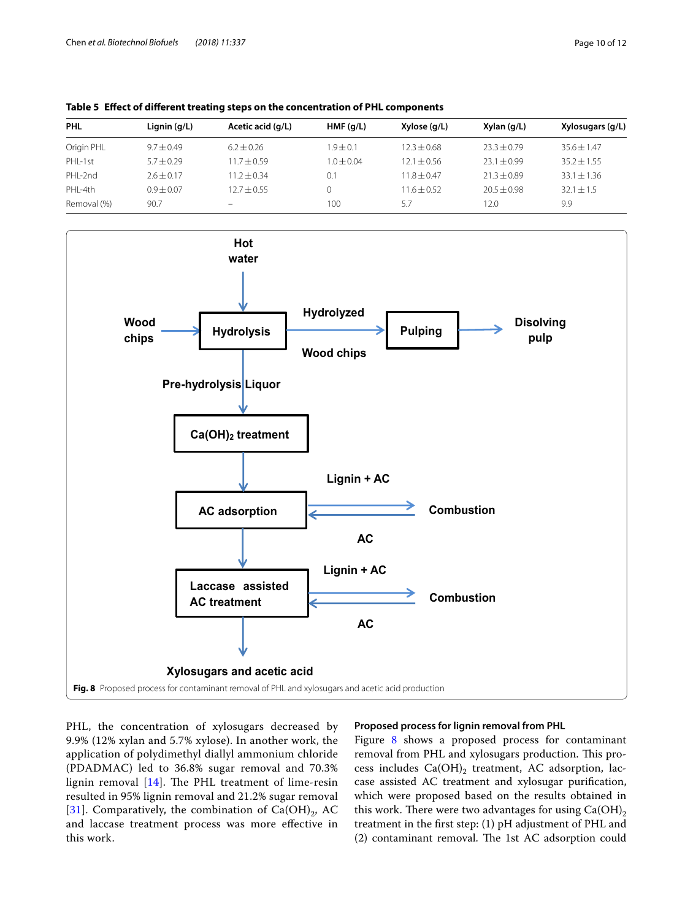| <b>PHL</b>  | Lignin (g/L)   | Acetic acid (g/L)        | HMF(q/L)       | Xylose (q/L)    | Xylan (g/L)     | Xylosugars (g/L) |
|-------------|----------------|--------------------------|----------------|-----------------|-----------------|------------------|
| Origin PHL  | $9.7 + 0.49$   | $6.2 + 0.26$             | $1.9 + 0.1$    | $12.3 + 0.68$   | $23.3 \pm 0.79$ | $35.6 \pm 1.47$  |
| $PHI - 1st$ | $5.7 + 0.29$   | $11.7 + 0.59$            | $1.0 \pm 0.04$ | $12.1 \pm 0.56$ | $23.1 \pm 0.99$ | $35.2 \pm 1.55$  |
| PHL-2nd     | $2.6 \pm 0.17$ | $11.2 + 0.34$            | 0.1            | $11.8 + 0.47$   | $21.3 \pm 0.89$ | $33.1 \pm 1.36$  |
| PHI-4th     | $0.9 + 0.07$   | $12.7 + 0.55$            |                | $11.6 \pm 0.52$ | $20.5 \pm 0.98$ | $32.1 \pm 1.5$   |
| Removal (%) | 90.7           | $\overline{\phantom{0}}$ | 100            | 5.7             | 12.0            | 9.9              |

<span id="page-9-0"></span>**Table 5 Efect of diferent treating steps on the concentration of PHL components**



<span id="page-9-1"></span>PHL, the concentration of xylosugars decreased by 9.9% (12% xylan and 5.7% xylose). In another work, the application of polydimethyl diallyl ammonium chloride (PDADMAC) led to 36.8% sugar removal and 70.3% lignin removal  $[14]$  $[14]$ . The PHL treatment of lime-resin resulted in 95% lignin removal and 21.2% sugar removal [[31](#page-11-30)]. Comparatively, the combination of  $Ca(OH)_2$ , AC and laccase treatment process was more efective in this work.

#### **Proposed process for lignin removal from PHL**

Figure [8](#page-9-1) shows a proposed process for contaminant removal from PHL and xylosugars production. This process includes  $Ca(OH)$ , treatment, AC adsorption, laccase assisted AC treatment and xylosugar purifcation, which were proposed based on the results obtained in this work. There were two advantages for using  $Ca(OH)_2$ treatment in the frst step: (1) pH adjustment of PHL and  $(2)$  contaminant removal. The 1st AC adsorption could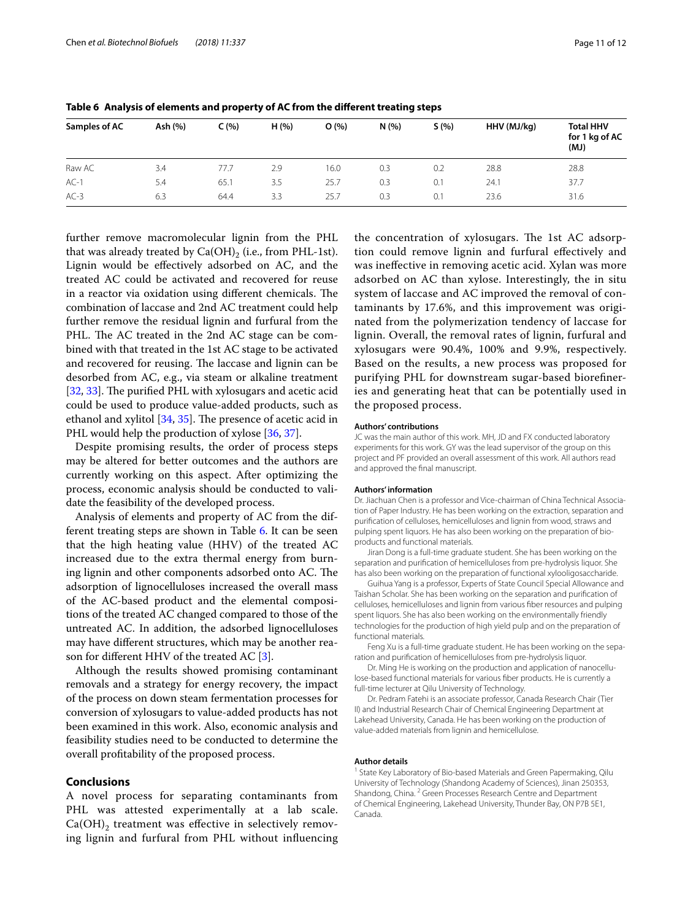| Samples of AC | Ash (%) | C(%) | H(% ) | O(%) | N(% | S(%) | HHV (MJ/kg) | <b>Total HHV</b><br>for 1 kg of AC<br>(MJ) |
|---------------|---------|------|-------|------|-----|------|-------------|--------------------------------------------|
| Raw AC        | 3.4     | 77.7 | 2.9   | 16.0 | 0.3 | 0.2  | 28.8        | 28.8                                       |
| $AC-1$        | 5.4     | 65.1 | 3.5   | 25.7 | 0.3 | 0.1  | 24.1        | 37.7                                       |
| $AC-3$        | 6.3     | 64.4 | 3.3   | 25.7 | 0.3 |      | 23.6        | 31.6                                       |

<span id="page-10-0"></span>**Table 6 Analysis of elements and property of AC from the diferent treating steps**

further remove macromolecular lignin from the PHL that was already treated by  $Ca(OH)_2$  (i.e., from PHL-1st). Lignin would be efectively adsorbed on AC, and the treated AC could be activated and recovered for reuse in a reactor via oxidation using different chemicals. The combination of laccase and 2nd AC treatment could help further remove the residual lignin and furfural from the PHL. The AC treated in the 2nd AC stage can be combined with that treated in the 1st AC stage to be activated and recovered for reusing. The laccase and lignin can be desorbed from AC, e.g., via steam or alkaline treatment [[32,](#page-11-31) [33](#page-11-32)]. The purified PHL with xylosugars and acetic acid could be used to produce value-added products, such as ethanol and xylitol  $[34, 35]$  $[34, 35]$  $[34, 35]$ . The presence of acetic acid in PHL would help the production of xylose [[36,](#page-11-35) [37](#page-11-36)].

Despite promising results, the order of process steps may be altered for better outcomes and the authors are currently working on this aspect. After optimizing the process, economic analysis should be conducted to validate the feasibility of the developed process.

Analysis of elements and property of AC from the different treating steps are shown in Table [6.](#page-10-0) It can be seen that the high heating value (HHV) of the treated AC increased due to the extra thermal energy from burning lignin and other components adsorbed onto AC. The adsorption of lignocelluloses increased the overall mass of the AC-based product and the elemental compositions of the treated AC changed compared to those of the untreated AC. In addition, the adsorbed lignocelluloses may have diferent structures, which may be another reason for diferent HHV of the treated AC [\[3\]](#page-11-2).

Although the results showed promising contaminant removals and a strategy for energy recovery, the impact of the process on down steam fermentation processes for conversion of xylosugars to value-added products has not been examined in this work. Also, economic analysis and feasibility studies need to be conducted to determine the overall proftability of the proposed process.

# **Conclusions**

A novel process for separating contaminants from PHL was attested experimentally at a lab scale.  $Ca(OH)$ <sub>2</sub> treatment was effective in selectively removing lignin and furfural from PHL without infuencing

the concentration of xylosugars. The 1st AC adsorption could remove lignin and furfural efectively and was inefective in removing acetic acid. Xylan was more adsorbed on AC than xylose. Interestingly, the in situ system of laccase and AC improved the removal of contaminants by 17.6%, and this improvement was originated from the polymerization tendency of laccase for lignin. Overall, the removal rates of lignin, furfural and xylosugars were 90.4%, 100% and 9.9%, respectively. Based on the results, a new process was proposed for purifying PHL for downstream sugar-based biorefneries and generating heat that can be potentially used in the proposed process.

#### **Authors' contributions**

JC was the main author of this work. MH, JD and FX conducted laboratory experiments for this work. GY was the lead supervisor of the group on this project and PF provided an overall assessment of this work. All authors read and approved the fnal manuscript.

#### **Authors' information**

Dr. Jiachuan Chen is a professor and Vice-chairman of China Technical Association of Paper Industry. He has been working on the extraction, separation and purifcation of celluloses, hemicelluloses and lignin from wood, straws and pulping spent liquors. He has also been working on the preparation of bioproducts and functional materials.

Jiran Dong is a full-time graduate student. She has been working on the separation and purifcation of hemicelluloses from pre-hydrolysis liquor. She has also been working on the preparation of functional xylooligosaccharide.

Guihua Yang is a professor, Experts of State Council Special Allowance and Taishan Scholar. She has been working on the separation and purifcation of celluloses, hemicelluloses and lignin from various fber resources and pulping spent liquors. She has also been working on the environmentally friendly technologies for the production of high yield pulp and on the preparation of functional materials.

Feng Xu is a full-time graduate student. He has been working on the separation and purifcation of hemicelluloses from pre-hydrolysis liquor.

Dr. Ming He is working on the production and application of nanocellulose-based functional materials for various fber products. He is currently a full-time lecturer at Qilu University of Technology.

Dr. Pedram Fatehi is an associate professor, Canada Research Chair (Tier II) and Industrial Research Chair of Chemical Engineering Department at Lakehead University, Canada. He has been working on the production of value-added materials from lignin and hemicellulose.

#### **Author details**

<sup>1</sup> State Key Laboratory of Bio-based Materials and Green Papermaking, Qilu University of Technology (Shandong Academy of Sciences), Jinan 250353, Shandong, China. 2 Green Processes Research Centre and Department of Chemical Engineering, Lakehead University, Thunder Bay, ON P7B 5E1, Canada.